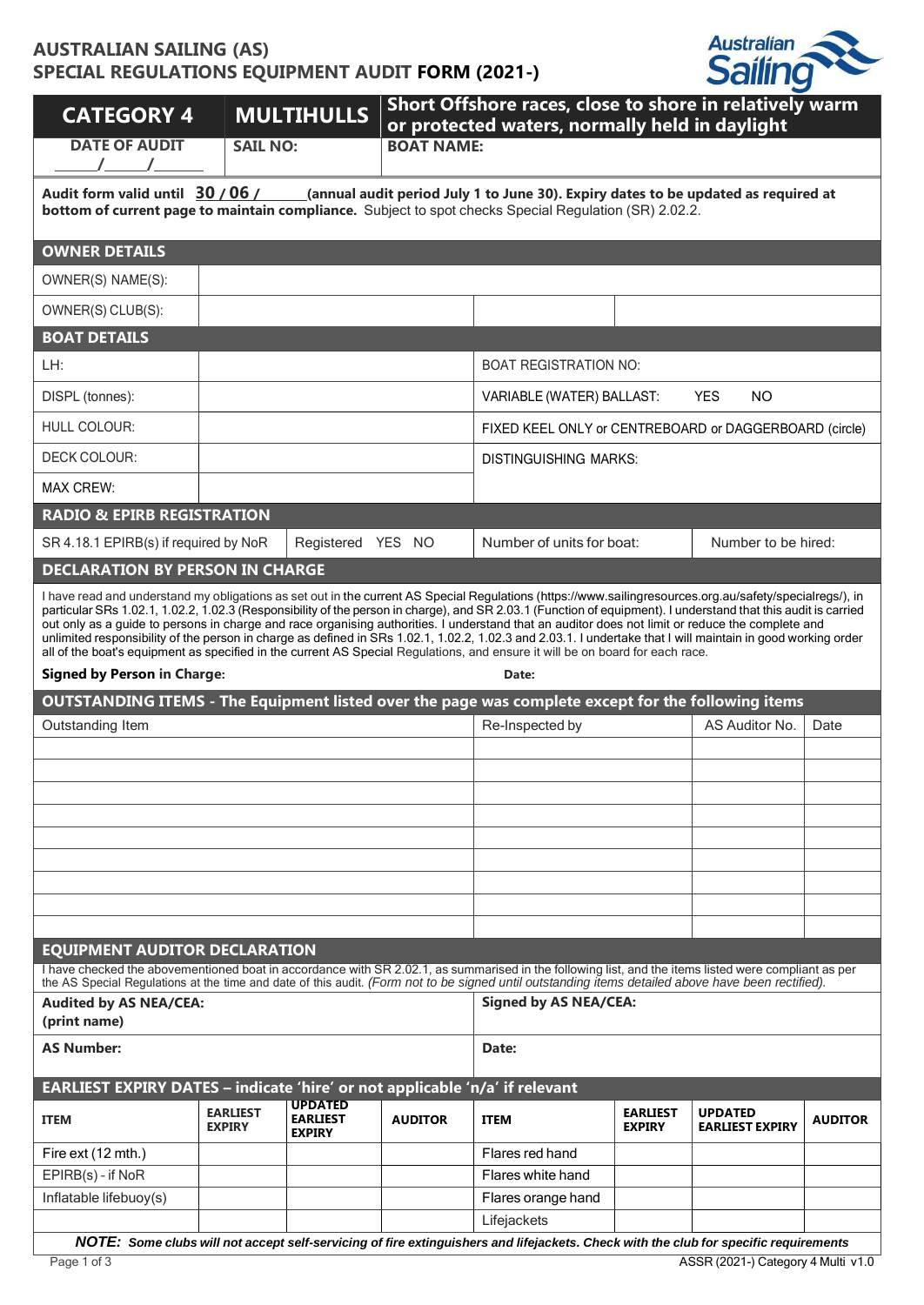## **AUSTRALIAN SAILING (AS) SPECIAL REGULATIONS EQUIPMENT AUDIT FORM (2021-)**



| <b>CATEGORY 4</b>                                                                                                                                                                                                                                                                                                                                                                                                                                                                                                                                                                                                                                                                                                                                                                                                              |                                  | <b>MULTIHULLS</b>                                  | Short Offshore races, close to shore in relatively warm<br>or protected waters, normally held in daylight |                                                                                                                                                     |                                                        |                                          |                |  |  |
|--------------------------------------------------------------------------------------------------------------------------------------------------------------------------------------------------------------------------------------------------------------------------------------------------------------------------------------------------------------------------------------------------------------------------------------------------------------------------------------------------------------------------------------------------------------------------------------------------------------------------------------------------------------------------------------------------------------------------------------------------------------------------------------------------------------------------------|----------------------------------|----------------------------------------------------|-----------------------------------------------------------------------------------------------------------|-----------------------------------------------------------------------------------------------------------------------------------------------------|--------------------------------------------------------|------------------------------------------|----------------|--|--|
| <b>DATE OF AUDIT</b>                                                                                                                                                                                                                                                                                                                                                                                                                                                                                                                                                                                                                                                                                                                                                                                                           | <b>SAIL NO:</b>                  |                                                    | <b>BOAT NAME:</b>                                                                                         |                                                                                                                                                     |                                                        |                                          |                |  |  |
|                                                                                                                                                                                                                                                                                                                                                                                                                                                                                                                                                                                                                                                                                                                                                                                                                                |                                  |                                                    |                                                                                                           |                                                                                                                                                     |                                                        |                                          |                |  |  |
| Audit form valid until 30 / 06 /<br>___(annual audit period July 1 to June 30). Expiry dates to be updated as required at<br>bottom of current page to maintain compliance. Subject to spot checks Special Regulation (SR) 2.02.2.                                                                                                                                                                                                                                                                                                                                                                                                                                                                                                                                                                                             |                                  |                                                    |                                                                                                           |                                                                                                                                                     |                                                        |                                          |                |  |  |
| <b>OWNER DETAILS</b>                                                                                                                                                                                                                                                                                                                                                                                                                                                                                                                                                                                                                                                                                                                                                                                                           |                                  |                                                    |                                                                                                           |                                                                                                                                                     |                                                        |                                          |                |  |  |
| OWNER(S) NAME(S):                                                                                                                                                                                                                                                                                                                                                                                                                                                                                                                                                                                                                                                                                                                                                                                                              |                                  |                                                    |                                                                                                           |                                                                                                                                                     |                                                        |                                          |                |  |  |
| OWNER(S) CLUB(S):                                                                                                                                                                                                                                                                                                                                                                                                                                                                                                                                                                                                                                                                                                                                                                                                              |                                  |                                                    |                                                                                                           |                                                                                                                                                     |                                                        |                                          |                |  |  |
| <b>BOAT DETAILS</b>                                                                                                                                                                                                                                                                                                                                                                                                                                                                                                                                                                                                                                                                                                                                                                                                            |                                  |                                                    |                                                                                                           |                                                                                                                                                     |                                                        |                                          |                |  |  |
| LH:                                                                                                                                                                                                                                                                                                                                                                                                                                                                                                                                                                                                                                                                                                                                                                                                                            |                                  |                                                    |                                                                                                           | <b>BOAT REGISTRATION NO:</b>                                                                                                                        |                                                        |                                          |                |  |  |
| DISPL (tonnes):                                                                                                                                                                                                                                                                                                                                                                                                                                                                                                                                                                                                                                                                                                                                                                                                                |                                  |                                                    |                                                                                                           | VARIABLE (WATER) BALLAST:                                                                                                                           |                                                        | <b>YES</b><br><b>NO</b>                  |                |  |  |
| HULL COLOUR:                                                                                                                                                                                                                                                                                                                                                                                                                                                                                                                                                                                                                                                                                                                                                                                                                   |                                  |                                                    |                                                                                                           |                                                                                                                                                     | FIXED KEEL ONLY or CENTREBOARD or DAGGERBOARD (circle) |                                          |                |  |  |
| <b>DECK COLOUR:</b>                                                                                                                                                                                                                                                                                                                                                                                                                                                                                                                                                                                                                                                                                                                                                                                                            |                                  |                                                    |                                                                                                           | <b>DISTINGUISHING MARKS:</b>                                                                                                                        |                                                        |                                          |                |  |  |
| <b>MAX CREW:</b>                                                                                                                                                                                                                                                                                                                                                                                                                                                                                                                                                                                                                                                                                                                                                                                                               |                                  |                                                    |                                                                                                           |                                                                                                                                                     |                                                        |                                          |                |  |  |
| <b>RADIO &amp; EPIRB REGISTRATION</b>                                                                                                                                                                                                                                                                                                                                                                                                                                                                                                                                                                                                                                                                                                                                                                                          |                                  |                                                    |                                                                                                           |                                                                                                                                                     |                                                        |                                          |                |  |  |
| SR 4.18.1 EPIRB(s) if required by NoR                                                                                                                                                                                                                                                                                                                                                                                                                                                                                                                                                                                                                                                                                                                                                                                          |                                  | Registered YES NO                                  |                                                                                                           | Number of units for boat:                                                                                                                           |                                                        | Number to be hired:                      |                |  |  |
| <b>DECLARATION BY PERSON IN CHARGE</b>                                                                                                                                                                                                                                                                                                                                                                                                                                                                                                                                                                                                                                                                                                                                                                                         |                                  |                                                    |                                                                                                           |                                                                                                                                                     |                                                        |                                          |                |  |  |
| I have read and understand my obligations as set out in the current AS Special Regulations (https://www.sailingresources.org.au/safety/specialregs/), in<br>particular SRs 1.02.1, 1.02.2, 1.02.3 (Responsibility of the person in charge), and SR 2.03.1 (Function of equipment). I understand that this audit is carried<br>out only as a guide to persons in charge and race organising authorities. I understand that an auditor does not limit or reduce the complete and<br>unlimited responsibility of the person in charge as defined in SRs 1.02.1, 1.02.2, 1.02.3 and 2.03.1. I undertake that I will maintain in good working order<br>all of the boat's equipment as specified in the current AS Special Regulations, and ensure it will be on board for each race.<br><b>Signed by Person in Charge:</b><br>Date: |                                  |                                                    |                                                                                                           |                                                                                                                                                     |                                                        |                                          |                |  |  |
| OUTSTANDING ITEMS - The Equipment listed over the page was complete except for the following items                                                                                                                                                                                                                                                                                                                                                                                                                                                                                                                                                                                                                                                                                                                             |                                  |                                                    |                                                                                                           |                                                                                                                                                     |                                                        |                                          |                |  |  |
| Outstanding Item                                                                                                                                                                                                                                                                                                                                                                                                                                                                                                                                                                                                                                                                                                                                                                                                               |                                  |                                                    |                                                                                                           | Re-Inspected by                                                                                                                                     |                                                        | AS Auditor No.                           | Date           |  |  |
|                                                                                                                                                                                                                                                                                                                                                                                                                                                                                                                                                                                                                                                                                                                                                                                                                                |                                  |                                                    |                                                                                                           |                                                                                                                                                     |                                                        |                                          |                |  |  |
|                                                                                                                                                                                                                                                                                                                                                                                                                                                                                                                                                                                                                                                                                                                                                                                                                                |                                  |                                                    |                                                                                                           |                                                                                                                                                     |                                                        |                                          |                |  |  |
|                                                                                                                                                                                                                                                                                                                                                                                                                                                                                                                                                                                                                                                                                                                                                                                                                                |                                  |                                                    |                                                                                                           |                                                                                                                                                     |                                                        |                                          |                |  |  |
|                                                                                                                                                                                                                                                                                                                                                                                                                                                                                                                                                                                                                                                                                                                                                                                                                                |                                  |                                                    |                                                                                                           |                                                                                                                                                     |                                                        |                                          |                |  |  |
|                                                                                                                                                                                                                                                                                                                                                                                                                                                                                                                                                                                                                                                                                                                                                                                                                                |                                  |                                                    |                                                                                                           |                                                                                                                                                     |                                                        |                                          |                |  |  |
|                                                                                                                                                                                                                                                                                                                                                                                                                                                                                                                                                                                                                                                                                                                                                                                                                                |                                  |                                                    |                                                                                                           |                                                                                                                                                     |                                                        |                                          |                |  |  |
|                                                                                                                                                                                                                                                                                                                                                                                                                                                                                                                                                                                                                                                                                                                                                                                                                                |                                  |                                                    |                                                                                                           |                                                                                                                                                     |                                                        |                                          |                |  |  |
| <b>EQUIPMENT AUDITOR DECLARATION</b><br>I have checked the abovementioned boat in accordance with SR 2.02.1, as summarised in the following list, and the items listed were compliant as per                                                                                                                                                                                                                                                                                                                                                                                                                                                                                                                                                                                                                                   |                                  |                                                    |                                                                                                           |                                                                                                                                                     |                                                        |                                          |                |  |  |
| the AS Special Regulations at the time and date of this audit. (Form not to be signed until outstanding items detailed above have been rectified).                                                                                                                                                                                                                                                                                                                                                                                                                                                                                                                                                                                                                                                                             |                                  |                                                    |                                                                                                           |                                                                                                                                                     |                                                        |                                          |                |  |  |
| <b>Audited by AS NEA/CEA:</b><br>(print name)                                                                                                                                                                                                                                                                                                                                                                                                                                                                                                                                                                                                                                                                                                                                                                                  |                                  |                                                    |                                                                                                           | <b>Signed by AS NEA/CEA:</b>                                                                                                                        |                                                        |                                          |                |  |  |
| <b>AS Number:</b>                                                                                                                                                                                                                                                                                                                                                                                                                                                                                                                                                                                                                                                                                                                                                                                                              |                                  |                                                    | Date:                                                                                                     |                                                                                                                                                     |                                                        |                                          |                |  |  |
| EARLIEST EXPIRY DATES - indicate 'hire' or not applicable 'n/a' if relevant                                                                                                                                                                                                                                                                                                                                                                                                                                                                                                                                                                                                                                                                                                                                                    |                                  |                                                    |                                                                                                           |                                                                                                                                                     |                                                        |                                          |                |  |  |
| <b>ITEM</b>                                                                                                                                                                                                                                                                                                                                                                                                                                                                                                                                                                                                                                                                                                                                                                                                                    | <b>EARLIEST</b><br><b>EXPIRY</b> | <b>UPDATED</b><br><b>EARLIEST</b><br><b>EXPIRY</b> | <b>AUDITOR</b>                                                                                            | <b>ITEM</b>                                                                                                                                         | <b>EARLIEST</b><br><b>EXPIRY</b>                       | <b>UPDATED</b><br><b>EARLIEST EXPIRY</b> | <b>AUDITOR</b> |  |  |
| Fire ext (12 mth.)                                                                                                                                                                                                                                                                                                                                                                                                                                                                                                                                                                                                                                                                                                                                                                                                             |                                  |                                                    |                                                                                                           | Flares red hand                                                                                                                                     |                                                        |                                          |                |  |  |
| EPIRB(s) - if NoR                                                                                                                                                                                                                                                                                                                                                                                                                                                                                                                                                                                                                                                                                                                                                                                                              |                                  |                                                    |                                                                                                           | Flares white hand                                                                                                                                   |                                                        |                                          |                |  |  |
| Inflatable lifebuoy(s)                                                                                                                                                                                                                                                                                                                                                                                                                                                                                                                                                                                                                                                                                                                                                                                                         |                                  |                                                    |                                                                                                           | Flares orange hand                                                                                                                                  |                                                        |                                          |                |  |  |
|                                                                                                                                                                                                                                                                                                                                                                                                                                                                                                                                                                                                                                                                                                                                                                                                                                |                                  |                                                    |                                                                                                           | Lifejackets<br>NOTE: Some clubs will not accept self-servicing of fire extinguishers and lifejackets. Check with the club for specific requirements |                                                        |                                          |                |  |  |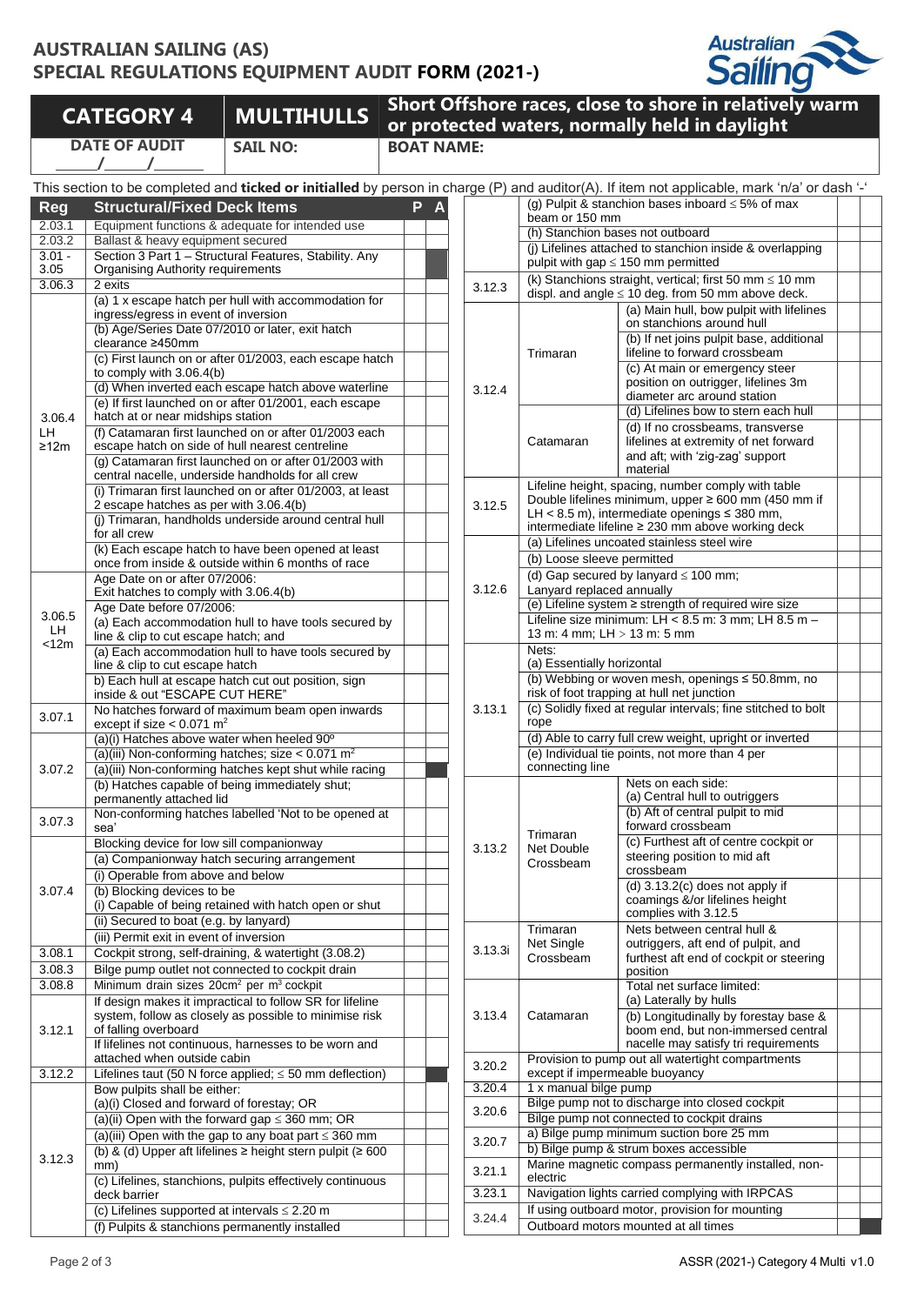## **AUSTRALIAN SAILING (AS) SPECIAL REGULATIONS EQUIPMENT AUDIT FORM (2021-)**



**DATE OF AUDIT**

**/ /**

**SAIL NO: BOAT NAME:**

**CATEGORY <sup>4</sup> MULTIHULLS Short Offshore races, close to shore in relatively warm or protected waters, normally held in daylight**

|                | This section to be completed and ticked or initialled by person in charge (P) and auditor(A). If item not applicable, mark 'n/a' or dash '-'                                                                                       |        |                                                                                                        |                                                                        |                                                                                                           |  |  |  |
|----------------|------------------------------------------------------------------------------------------------------------------------------------------------------------------------------------------------------------------------------------|--------|--------------------------------------------------------------------------------------------------------|------------------------------------------------------------------------|-----------------------------------------------------------------------------------------------------------|--|--|--|
| <b>Reg</b>     | P<br><b>Structural/Fixed Deck Items</b>                                                                                                                                                                                            |        |                                                                                                        | (g) Pulpit & stanchion bases inboard $\leq$ 5% of max                  |                                                                                                           |  |  |  |
| 2.03.1         | Equipment functions & adequate for intended use                                                                                                                                                                                    |        |                                                                                                        | beam or 150 mm                                                         |                                                                                                           |  |  |  |
| 2.03.2         | Ballast & heavy equipment secured                                                                                                                                                                                                  |        | (h) Stanchion bases not outboard                                                                       |                                                                        |                                                                                                           |  |  |  |
| $3.01 -$       | Section 3 Part 1 - Structural Features, Stability, Any                                                                                                                                                                             |        |                                                                                                        |                                                                        | (j) Lifelines attached to stanchion inside & overlapping                                                  |  |  |  |
| 3.05           | <b>Organising Authority requirements</b>                                                                                                                                                                                           |        | pulpit with gap $\leq$ 150 mm permitted<br>(k) Stanchions straight, vertical; first 50 mm $\leq 10$ mm |                                                                        |                                                                                                           |  |  |  |
| 3.06.3         | 2 exits<br>(a) 1 x escape hatch per hull with accommodation for                                                                                                                                                                    | 3.12.3 | displ. and angle $\leq 10$ deg. from 50 mm above deck.                                                 |                                                                        |                                                                                                           |  |  |  |
|                | ingress/egress in event of inversion                                                                                                                                                                                               |        |                                                                                                        |                                                                        | (a) Main hull, bow pulpit with lifelines                                                                  |  |  |  |
|                | (b) Age/Series Date 07/2010 or later, exit hatch                                                                                                                                                                                   |        |                                                                                                        | Trimaran                                                               | on stanchions around hull                                                                                 |  |  |  |
|                | clearance ≥450mm                                                                                                                                                                                                                   |        |                                                                                                        |                                                                        | (b) If net joins pulpit base, additional<br>lifeline to forward crossbeam                                 |  |  |  |
|                | (c) First launch on or after 01/2003, each escape hatch<br>to comply with $3.06.4(b)$                                                                                                                                              |        |                                                                                                        |                                                                        | (c) At main or emergency steer                                                                            |  |  |  |
|                | (d) When inverted each escape hatch above waterline                                                                                                                                                                                |        | 3.12.4                                                                                                 |                                                                        | position on outrigger, lifelines 3m                                                                       |  |  |  |
|                | (e) If first launched on or after 01/2001, each escape                                                                                                                                                                             |        |                                                                                                        |                                                                        | diameter arc around station                                                                               |  |  |  |
| 3.06.4         | hatch at or near midships station                                                                                                                                                                                                  |        |                                                                                                        |                                                                        | (d) Lifelines bow to stern each hull<br>(d) If no crossbeams, transverse                                  |  |  |  |
| LH             | (f) Catamaran first launched on or after 01/2003 each<br>escape hatch on side of hull nearest centreline                                                                                                                           |        |                                                                                                        | Catamaran                                                              | lifelines at extremity of net forward                                                                     |  |  |  |
| ≥12m           | (g) Catamaran first launched on or after 01/2003 with                                                                                                                                                                              |        |                                                                                                        |                                                                        | and aft; with 'zig-zag' support                                                                           |  |  |  |
|                | central nacelle, underside handholds for all crew                                                                                                                                                                                  |        |                                                                                                        |                                                                        | material                                                                                                  |  |  |  |
|                | (i) Trimaran first launched on or after 01/2003, at least                                                                                                                                                                          |        |                                                                                                        |                                                                        | Lifeline height, spacing, number comply with table<br>Double lifelines minimum, upper ≥ 600 mm (450 mm if |  |  |  |
|                | 2 escape hatches as per with 3.06.4(b)<br>(i) Trimaran, handholds underside around central hull<br>for all crew                                                                                                                    |        |                                                                                                        |                                                                        | LH < 8.5 m), intermediate openings $\leq$ 380 mm,                                                         |  |  |  |
|                |                                                                                                                                                                                                                                    |        |                                                                                                        | intermediate lifeline ≥ 230 mm above working deck                      |                                                                                                           |  |  |  |
|                | (k) Each escape hatch to have been opened at least                                                                                                                                                                                 |        |                                                                                                        | (a) Lifelines uncoated stainless steel wire                            |                                                                                                           |  |  |  |
|                | once from inside & outside within 6 months of race                                                                                                                                                                                 |        |                                                                                                        | (b) Loose sleeve permitted                                             |                                                                                                           |  |  |  |
|                | Age Date on or after 07/2006:                                                                                                                                                                                                      |        |                                                                                                        | (d) Gap secured by lanyard $\leq 100$ mm;<br>Lanyard replaced annually |                                                                                                           |  |  |  |
|                | Exit hatches to comply with 3.06.4(b)<br>Age Date before 07/2006:                                                                                                                                                                  |        |                                                                                                        | (e) Lifeline system ≥ strength of required wire size                   |                                                                                                           |  |  |  |
| 3.06.5         | (a) Each accommodation hull to have tools secured by                                                                                                                                                                               |        |                                                                                                        | Lifeline size minimum: LH < 8.5 m: 3 mm; LH 8.5 m -                    |                                                                                                           |  |  |  |
| LH.<br>$<$ 12m | line & clip to cut escape hatch; and                                                                                                                                                                                               |        |                                                                                                        | 13 m: 4 mm; LH > 13 m: 5 mm                                            |                                                                                                           |  |  |  |
|                | (a) Each accommodation hull to have tools secured by                                                                                                                                                                               |        |                                                                                                        | Nets:<br>(a) Essentially horizontal                                    |                                                                                                           |  |  |  |
|                | line & clip to cut escape hatch<br>b) Each hull at escape hatch cut out position, sign                                                                                                                                             |        |                                                                                                        |                                                                        | (b) Webbing or woven mesh, openings ≤ 50.8mm, no                                                          |  |  |  |
|                | inside & out "ESCAPE CUT HERE"                                                                                                                                                                                                     |        |                                                                                                        |                                                                        | risk of foot trapping at hull net junction                                                                |  |  |  |
| 3.07.1         | No hatches forward of maximum beam open inwards                                                                                                                                                                                    |        | 3.13.1                                                                                                 | rope                                                                   | (c) Solidly fixed at regular intervals; fine stitched to bolt                                             |  |  |  |
|                | except if size $< 0.071$ m <sup>2</sup><br>(a)(i) Hatches above water when heeled 90°                                                                                                                                              |        |                                                                                                        | (d) Able to carry full crew weight, upright or inverted                |                                                                                                           |  |  |  |
|                | (a)(iii) Non-conforming hatches; size $< 0.071$ m <sup>2</sup>                                                                                                                                                                     |        |                                                                                                        |                                                                        | (e) Individual tie points, not more than 4 per                                                            |  |  |  |
| 3.07.2         | (a)(iii) Non-conforming hatches kept shut while racing                                                                                                                                                                             |        |                                                                                                        | connecting line                                                        |                                                                                                           |  |  |  |
|                | (b) Hatches capable of being immediately shut;                                                                                                                                                                                     |        |                                                                                                        |                                                                        | Nets on each side:                                                                                        |  |  |  |
|                | permanently attached lid<br>Non-conforming hatches labelled 'Not to be opened at                                                                                                                                                   |        |                                                                                                        |                                                                        | (a) Central hull to outriggers<br>(b) Aft of central pulpit to mid                                        |  |  |  |
| 3.07.3         | sea'                                                                                                                                                                                                                               |        |                                                                                                        |                                                                        | forward crossbeam                                                                                         |  |  |  |
|                | Blocking device for low sill companionway                                                                                                                                                                                          |        | 3.13.2                                                                                                 | Trimaran<br>Net Double                                                 | (c) Furthest aft of centre cockpit or                                                                     |  |  |  |
|                | (a) Companionway hatch securing arrangement                                                                                                                                                                                        |        |                                                                                                        | Crossbeam                                                              | steering position to mid aft                                                                              |  |  |  |
|                | (i) Operable from above and below                                                                                                                                                                                                  |        |                                                                                                        |                                                                        | crossbeam<br>(d) $3.13.2(c)$ does not apply if                                                            |  |  |  |
| 3.07.4         | (b) Blocking devices to be<br>(i) Capable of being retained with hatch open or shut<br>(ii) Secured to boat (e.g. by lanyard)                                                                                                      |        |                                                                                                        |                                                                        | coamings &/or lifelines height                                                                            |  |  |  |
|                |                                                                                                                                                                                                                                    |        |                                                                                                        |                                                                        | complies with 3.12.5                                                                                      |  |  |  |
|                | (iii) Permit exit in event of inversion                                                                                                                                                                                            |        |                                                                                                        | Trimaran                                                               | Nets between central hull &                                                                               |  |  |  |
| 3.08.1         | Cockpit strong, self-draining, & watertight (3.08.2)                                                                                                                                                                               |        | 3.13.3i                                                                                                | Net Single<br>Crossbeam                                                | outriggers, aft end of pulpit, and<br>furthest aft end of cockpit or steering                             |  |  |  |
| 3.08.3         | Bilge pump outlet not connected to cockpit drain                                                                                                                                                                                   |        |                                                                                                        |                                                                        | position                                                                                                  |  |  |  |
| 3.08.8         | Minimum drain sizes 20cm <sup>2</sup> per m <sup>3</sup> cockpit                                                                                                                                                                   |        |                                                                                                        |                                                                        | Total net surface limited:                                                                                |  |  |  |
|                | If design makes it impractical to follow SR for lifeline<br>system, follow as closely as possible to minimise risk<br>of falling overboard<br>If lifelines not continuous, harnesses to be worn and<br>attached when outside cabin |        | 3.13.4                                                                                                 | Catamaran                                                              | (a) Laterally by hulls                                                                                    |  |  |  |
| 3.12.1         |                                                                                                                                                                                                                                    |        |                                                                                                        |                                                                        | (b) Longitudinally by forestay base &<br>boom end, but non-immersed central                               |  |  |  |
|                |                                                                                                                                                                                                                                    |        |                                                                                                        |                                                                        | nacelle may satisfy tri requirements                                                                      |  |  |  |
|                |                                                                                                                                                                                                                                    |        | 3.20.2                                                                                                 | Provision to pump out all watertight compartments                      |                                                                                                           |  |  |  |
| 3.12.2         | Lifelines taut (50 N force applied; $\leq$ 50 mm deflection)                                                                                                                                                                       |        | 3.20.4                                                                                                 |                                                                        | except if impermeable buoyancy<br>1 x manual bilge pump                                                   |  |  |  |
|                | Bow pulpits shall be either:<br>(a)(i) Closed and forward of forestay; OR                                                                                                                                                          |        |                                                                                                        | Bilge pump not to discharge into closed cockpit                        |                                                                                                           |  |  |  |
|                | (a)(ii) Open with the forward gap $\leq$ 360 mm; OR                                                                                                                                                                                |        | 3.20.6                                                                                                 | Bilge pump not connected to cockpit drains                             |                                                                                                           |  |  |  |
|                | (a)(iii) Open with the gap to any boat part $\leq$ 360 mm                                                                                                                                                                          |        | 3.20.7                                                                                                 | a) Bilge pump minimum suction bore 25 mm                               |                                                                                                           |  |  |  |
| 3.12.3         | (b) & (d) Upper aft lifelines $\geq$ height stern pulpit ( $\geq$ 600                                                                                                                                                              |        |                                                                                                        | b) Bilge pump & strum boxes accessible                                 |                                                                                                           |  |  |  |
|                | mm)                                                                                                                                                                                                                                |        | 3.21.1                                                                                                 | Marine magnetic compass permanently installed, non-<br>electric        |                                                                                                           |  |  |  |
|                | (c) Lifelines, stanchions, pulpits effectively continuous<br>deck barrier                                                                                                                                                          |        | 3.23.1                                                                                                 | Navigation lights carried complying with IRPCAS                        |                                                                                                           |  |  |  |
|                | (c) Lifelines supported at intervals $\leq$ 2.20 m                                                                                                                                                                                 |        |                                                                                                        | If using outboard motor, provision for mounting                        |                                                                                                           |  |  |  |
|                | (f) Pulpits & stanchions permanently installed                                                                                                                                                                                     |        | 3.24.4                                                                                                 |                                                                        | Outboard motors mounted at all times                                                                      |  |  |  |

|         |                                                                                                           | (g) Pulpit & stanchion bases inboard $\leq$ 5% of max                                                    |  |  |  |  |  |  |  |
|---------|-----------------------------------------------------------------------------------------------------------|----------------------------------------------------------------------------------------------------------|--|--|--|--|--|--|--|
|         | beam or 150 mm<br>(h) Stanchion bases not outboard                                                        |                                                                                                          |  |  |  |  |  |  |  |
|         |                                                                                                           |                                                                                                          |  |  |  |  |  |  |  |
|         |                                                                                                           | (j) Lifelines attached to stanchion inside & overlapping                                                 |  |  |  |  |  |  |  |
|         |                                                                                                           | pulpit with gap $\leq$ 150 mm permitted                                                                  |  |  |  |  |  |  |  |
| 3.12.3  |                                                                                                           | (k) Stanchions straight, vertical; first 50 mm $\leq 10$ mm                                              |  |  |  |  |  |  |  |
|         | displ. and angle $\leq 10$ deg. from 50 mm above deck.<br>(a) Main hull, bow pulpit with lifelines        |                                                                                                          |  |  |  |  |  |  |  |
|         |                                                                                                           | on stanchions around hull                                                                                |  |  |  |  |  |  |  |
| 3.12.4  |                                                                                                           | (b) If net joins pulpit base, additional                                                                 |  |  |  |  |  |  |  |
|         | Trimaran                                                                                                  | lifeline to forward crossbeam                                                                            |  |  |  |  |  |  |  |
|         |                                                                                                           | (c) At main or emergency steer                                                                           |  |  |  |  |  |  |  |
|         |                                                                                                           | position on outrigger, lifelines 3m                                                                      |  |  |  |  |  |  |  |
|         |                                                                                                           | diameter arc around station<br>(d) Lifelines bow to stern each hull                                      |  |  |  |  |  |  |  |
|         |                                                                                                           | (d) If no crossbeams, transverse                                                                         |  |  |  |  |  |  |  |
|         | Catamaran                                                                                                 | lifelines at extremity of net forward                                                                    |  |  |  |  |  |  |  |
|         |                                                                                                           | and aft; with 'zig-zag' support                                                                          |  |  |  |  |  |  |  |
|         |                                                                                                           | material                                                                                                 |  |  |  |  |  |  |  |
|         |                                                                                                           | Lifeline height, spacing, number comply with table                                                       |  |  |  |  |  |  |  |
| 3.12.5  |                                                                                                           | Double lifelines minimum, upper ≥ 600 mm (450 mm if<br>LH < 8.5 m), intermediate openings $\leq$ 380 mm, |  |  |  |  |  |  |  |
|         |                                                                                                           | intermediate lifeline ≥ 230 mm above working deck                                                        |  |  |  |  |  |  |  |
|         |                                                                                                           | (a) Lifelines uncoated stainless steel wire                                                              |  |  |  |  |  |  |  |
|         | (b) Loose sleeve permitted                                                                                |                                                                                                          |  |  |  |  |  |  |  |
|         |                                                                                                           | (d) Gap secured by lanyard $\leq 100$ mm;                                                                |  |  |  |  |  |  |  |
| 3.12.6  | Lanyard replaced annually                                                                                 |                                                                                                          |  |  |  |  |  |  |  |
|         |                                                                                                           | (e) Lifeline system ≥ strength of required wire size                                                     |  |  |  |  |  |  |  |
|         | Lifeline size minimum: $LH < 8.5$ m: 3 mm; $LH$ 8.5 m -                                                   |                                                                                                          |  |  |  |  |  |  |  |
|         | 13 m: 4 mm; LH > 13 m: 5 mm                                                                               |                                                                                                          |  |  |  |  |  |  |  |
|         | Nets:<br>(a) Essentially horizontal                                                                       |                                                                                                          |  |  |  |  |  |  |  |
|         | (b) Webbing or woven mesh, openings ≤ 50.8mm, no                                                          |                                                                                                          |  |  |  |  |  |  |  |
|         | risk of foot trapping at hull net junction                                                                |                                                                                                          |  |  |  |  |  |  |  |
| 3.13.1  | (c) Solidly fixed at regular intervals; fine stitched to bolt                                             |                                                                                                          |  |  |  |  |  |  |  |
|         | rope                                                                                                      |                                                                                                          |  |  |  |  |  |  |  |
|         | (d) Able to carry full crew weight, upright or inverted<br>(e) Individual tie points, not more than 4 per |                                                                                                          |  |  |  |  |  |  |  |
|         | connecting line                                                                                           |                                                                                                          |  |  |  |  |  |  |  |
|         |                                                                                                           | Nets on each side:                                                                                       |  |  |  |  |  |  |  |
|         |                                                                                                           | (a) Central hull to outriggers                                                                           |  |  |  |  |  |  |  |
|         | Trimaran<br><b>Net Double</b>                                                                             | (b) Aft of central pulpit to mid                                                                         |  |  |  |  |  |  |  |
|         |                                                                                                           | forward crossbeam                                                                                        |  |  |  |  |  |  |  |
| 3.13.2  |                                                                                                           | (c) Furthest aft of centre cockpit or                                                                    |  |  |  |  |  |  |  |
|         | Crossbeam                                                                                                 | steering position to mid aft<br>crossbeam                                                                |  |  |  |  |  |  |  |
|         |                                                                                                           | (d) 3.13.2(c) does not apply if                                                                          |  |  |  |  |  |  |  |
|         |                                                                                                           | coamings &/or lifelines height                                                                           |  |  |  |  |  |  |  |
|         |                                                                                                           | complies with 3.12.5                                                                                     |  |  |  |  |  |  |  |
| 3.13.3i | Trimaran                                                                                                  | Nets between central hull &                                                                              |  |  |  |  |  |  |  |
|         | Net Single<br>Crossbeam                                                                                   | outriggers, aft end of pulpit, and<br>furthest aft end of cockpit or steering                            |  |  |  |  |  |  |  |
|         |                                                                                                           | position                                                                                                 |  |  |  |  |  |  |  |
|         |                                                                                                           | Total net surface limited:                                                                               |  |  |  |  |  |  |  |
|         |                                                                                                           | (a) Laterally by hulls                                                                                   |  |  |  |  |  |  |  |
| 3.13.4  | Catamaran                                                                                                 | (b) Longitudinally by forestay base &                                                                    |  |  |  |  |  |  |  |
|         |                                                                                                           | boom end. but non-immersed central                                                                       |  |  |  |  |  |  |  |
|         | nacelle may satisfy tri requirements                                                                      |                                                                                                          |  |  |  |  |  |  |  |
| 3.20.2  | Provision to pump out all watertight compartments<br>except if impermeable buoyancy                       |                                                                                                          |  |  |  |  |  |  |  |
| 3.20.4  | 1 x manual bilge pump                                                                                     |                                                                                                          |  |  |  |  |  |  |  |
|         |                                                                                                           | Bilge pump not to discharge into closed cockpit                                                          |  |  |  |  |  |  |  |
| 3.20.6  | Bilge pump not connected to cockpit drains                                                                |                                                                                                          |  |  |  |  |  |  |  |
| 3.20.7  | a) Bilge pump minimum suction bore 25 mm                                                                  |                                                                                                          |  |  |  |  |  |  |  |
|         | b) Bilge pump & strum boxes accessible                                                                    |                                                                                                          |  |  |  |  |  |  |  |
| 3.21.1  | Marine magnetic compass permanently installed, non-<br>electric                                           |                                                                                                          |  |  |  |  |  |  |  |
| 3.23.1  | Navigation lights carried complying with IRPCAS                                                           |                                                                                                          |  |  |  |  |  |  |  |
|         |                                                                                                           | If using outboard motor, provision for mounting                                                          |  |  |  |  |  |  |  |
| 3.24.4  | Outboard motors mounted at all times                                                                      |                                                                                                          |  |  |  |  |  |  |  |
|         |                                                                                                           |                                                                                                          |  |  |  |  |  |  |  |